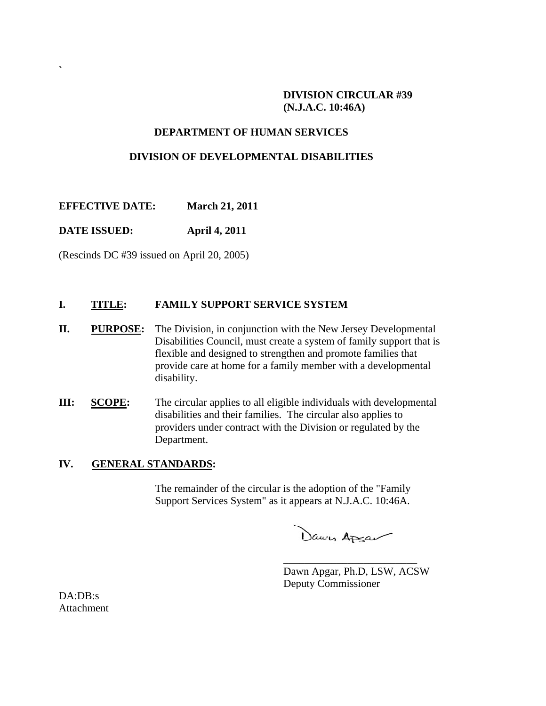## **DIVISION CIRCULAR #39 (N.J.A.C. 10:46A)**

### **DEPARTMENT OF HUMAN SERVICES**

### **DIVISION OF DEVELOPMENTAL DISABILITIES**

**EFFECTIVE DATE: March 21, 2011** 

 $\lambda$ 

**DATE ISSUED: April 4, 2011** 

(Rescinds DC #39 issued on April 20, 2005)

## **I. TITLE: FAMILY SUPPORT SERVICE SYSTEM**

- **II.** PURPOSE: The Division, in conjunction with the New Jersey Developmental Disabilities Council, must create a system of family support that is flexible and designed to strengthen and promote families that provide care at home for a family member with a developmental disability.
- **III: SCOPE:** The circular applies to all eligible individuals with developmental disabilities and their families. The circular also applies to providers under contract with the Division or regulated by the Department.

 $\overline{\phantom{a}}$  , and the contract of the contract of the contract of the contract of the contract of the contract of the contract of the contract of the contract of the contract of the contract of the contract of the contrac

#### **IV. GENERAL STANDARDS:**

 The remainder of the circular is the adoption of the "Family Support Services System" as it appears at N.J.A.C. 10:46A.

Dawn Apsar

 Dawn Apgar, Ph.D, LSW, ACSW Deputy Commissioner

DA:DB:s Attachment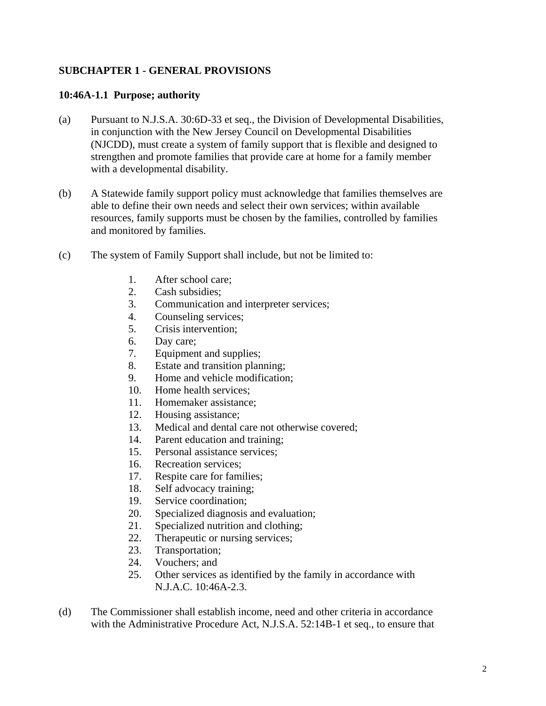# **SUBCHAPTER 1 - GENERAL PROVISIONS**

## **10:46A-1.1 Purpose; authority**

- (a) Pursuant to N.J.S.A. 30:6D-33 et seq., the Division of Developmental Disabilities, in conjunction with the New Jersey Council on Developmental Disabilities (NJCDD), must create a system of family support that is flexible and designed to strengthen and promote families that provide care at home for a family member with a developmental disability.
- (b) A Statewide family support policy must acknowledge that families themselves are able to define their own needs and select their own services; within available resources, family supports must be chosen by the families, controlled by families and monitored by families.
- (c) The system of Family Support shall include, but not be limited to:
	- 1. After school care;
	- 2. Cash subsidies;
	- 3. Communication and interpreter services;
	- 4. Counseling services;
	- 5. Crisis intervention;
	- 6. Day care;
	- 7. Equipment and supplies;
	- 8. Estate and transition planning;
	- 9. Home and vehicle modification;
	- 10. Home health services;
	- 11. Homemaker assistance;
	- 12. Housing assistance;
	- 13. Medical and dental care not otherwise covered;
	- 14. Parent education and training;
	- 15. Personal assistance services;
	- 16. Recreation services;
	- 17. Respite care for families;
	- 18. Self advocacy training;
	- 19. Service coordination;
	- 20. Specialized diagnosis and evaluation;
	- 21. Specialized nutrition and clothing;
	- 22. Therapeutic or nursing services;
	- 23. Transportation;
	- 24. Vouchers; and
	- 25. Other services as identified by the family in accordance with N.J.A.C. 10:46A-2.3.
- (d) The Commissioner shall establish income, need and other criteria in accordance with the Administrative Procedure Act, N.J.S.A. 52:14B-1 et seq., to ensure that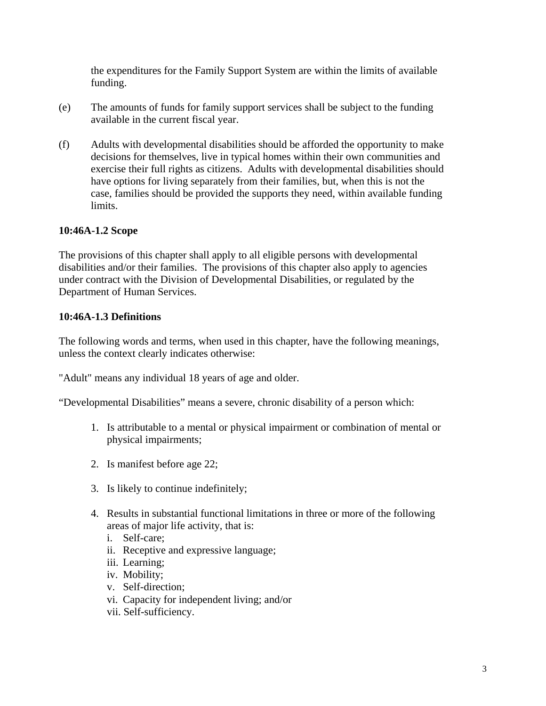the expenditures for the Family Support System are within the limits of available funding.

- (e) The amounts of funds for family support services shall be subject to the funding available in the current fiscal year.
- (f) Adults with developmental disabilities should be afforded the opportunity to make decisions for themselves, live in typical homes within their own communities and exercise their full rights as citizens. Adults with developmental disabilities should have options for living separately from their families, but, when this is not the case, families should be provided the supports they need, within available funding limits.

# **10:46A-1.2 Scope**

The provisions of this chapter shall apply to all eligible persons with developmental disabilities and/or their families. The provisions of this chapter also apply to agencies under contract with the Division of Developmental Disabilities, or regulated by the Department of Human Services.

# **10:46A-1.3 Definitions**

The following words and terms, when used in this chapter, have the following meanings, unless the context clearly indicates otherwise:

"Adult" means any individual 18 years of age and older.

"Developmental Disabilities" means a severe, chronic disability of a person which:

- 1. Is attributable to a mental or physical impairment or combination of mental or physical impairments;
- 2. Is manifest before age 22;
- 3. Is likely to continue indefinitely;
- 4. Results in substantial functional limitations in three or more of the following areas of major life activity, that is:
	- i. Self-care;
	- ii. Receptive and expressive language;
	- iii. Learning;
	- iv. Mobility;
	- v. Self-direction;
	- vi. Capacity for independent living; and/or
	- vii. Self-sufficiency.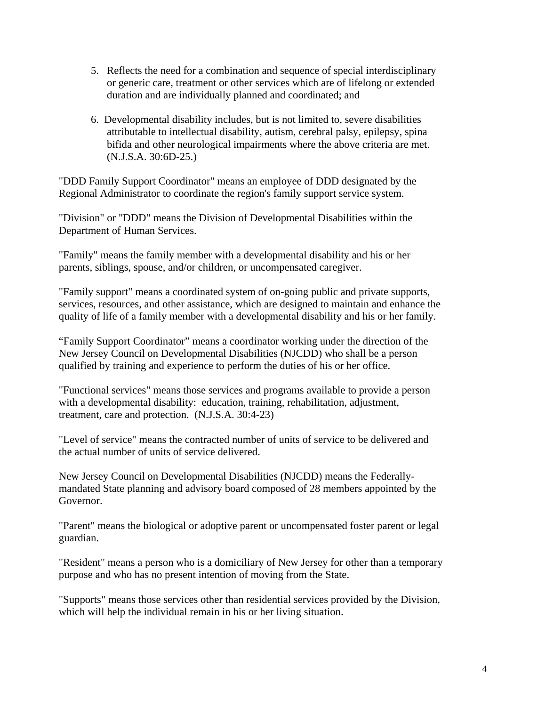- 5. Reflects the need for a combination and sequence of special interdisciplinary or generic care, treatment or other services which are of lifelong or extended duration and are individually planned and coordinated; and
- 6. Developmental disability includes, but is not limited to, severe disabilities attributable to intellectual disability, autism, cerebral palsy, epilepsy, spina bifida and other neurological impairments where the above criteria are met. (N.J.S.A. 30:6D-25.)

"DDD Family Support Coordinator" means an employee of DDD designated by the Regional Administrator to coordinate the region's family support service system.

"Division" or "DDD" means the Division of Developmental Disabilities within the Department of Human Services.

"Family" means the family member with a developmental disability and his or her parents, siblings, spouse, and/or children, or uncompensated caregiver.

"Family support" means a coordinated system of on-going public and private supports, services, resources, and other assistance, which are designed to maintain and enhance the quality of life of a family member with a developmental disability and his or her family.

"Family Support Coordinator" means a coordinator working under the direction of the New Jersey Council on Developmental Disabilities (NJCDD) who shall be a person qualified by training and experience to perform the duties of his or her office.

"Functional services" means those services and programs available to provide a person with a developmental disability: education, training, rehabilitation, adjustment, treatment, care and protection. (N.J.S.A. 30:4-23)

"Level of service" means the contracted number of units of service to be delivered and the actual number of units of service delivered.

New Jersey Council on Developmental Disabilities (NJCDD) means the Federallymandated State planning and advisory board composed of 28 members appointed by the Governor.

"Parent" means the biological or adoptive parent or uncompensated foster parent or legal guardian.

"Resident" means a person who is a domiciliary of New Jersey for other than a temporary purpose and who has no present intention of moving from the State.

"Supports" means those services other than residential services provided by the Division, which will help the individual remain in his or her living situation.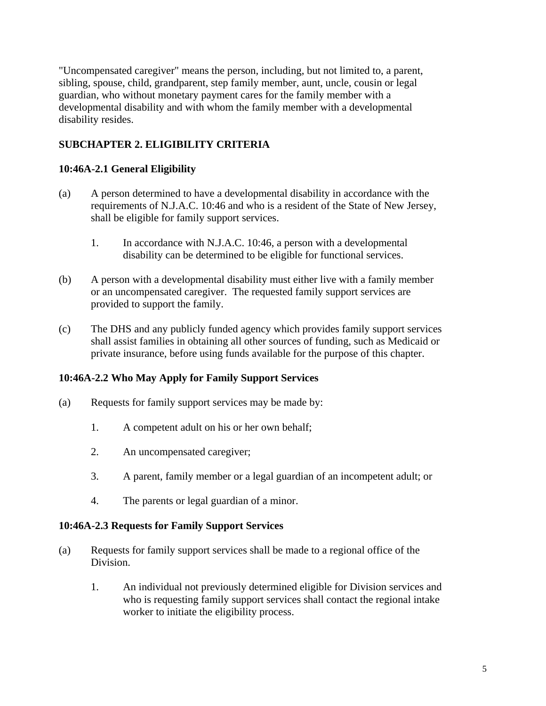"Uncompensated caregiver" means the person, including, but not limited to, a parent, sibling, spouse, child, grandparent, step family member, aunt, uncle, cousin or legal guardian, who without monetary payment cares for the family member with a developmental disability and with whom the family member with a developmental disability resides.

# **SUBCHAPTER 2. ELIGIBILITY CRITERIA**

# **10:46A-2.1 General Eligibility**

- (a) A person determined to have a developmental disability in accordance with the requirements of N.J.A.C. 10:46 and who is a resident of the State of New Jersey, shall be eligible for family support services.
	- 1. In accordance with N.J.A.C. 10:46, a person with a developmental disability can be determined to be eligible for functional services.
- (b) A person with a developmental disability must either live with a family member or an uncompensated caregiver. The requested family support services are provided to support the family.
- (c) The DHS and any publicly funded agency which provides family support services shall assist families in obtaining all other sources of funding, such as Medicaid or private insurance, before using funds available for the purpose of this chapter.

# **10:46A-2.2 Who May Apply for Family Support Services**

- (a) Requests for family support services may be made by:
	- 1. A competent adult on his or her own behalf;
	- 2. An uncompensated caregiver;
	- 3. A parent, family member or a legal guardian of an incompetent adult; or
	- 4. The parents or legal guardian of a minor.

# **10:46A-2.3 Requests for Family Support Services**

- (a) Requests for family support services shall be made to a regional office of the Division.
	- 1. An individual not previously determined eligible for Division services and who is requesting family support services shall contact the regional intake worker to initiate the eligibility process.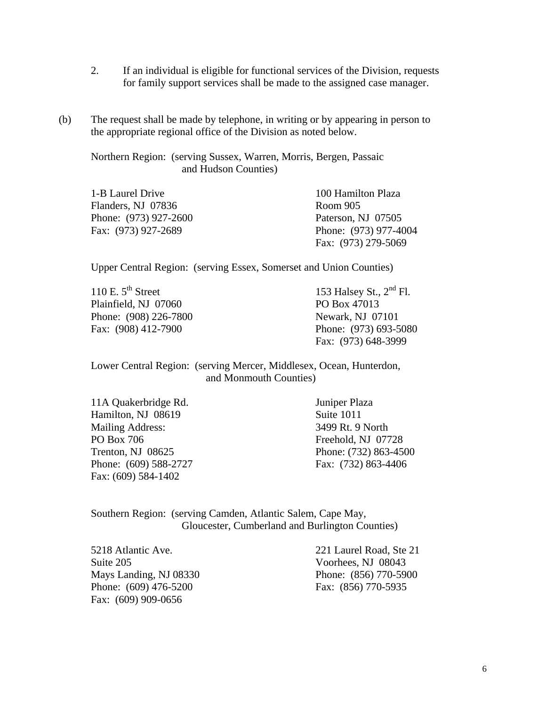- 2. If an individual is eligible for functional services of the Division, requests for family support services shall be made to the assigned case manager.
- (b) The request shall be made by telephone, in writing or by appearing in person to the appropriate regional office of the Division as noted below.

 Northern Region: (serving Sussex, Warren, Morris, Bergen, Passaic and Hudson Counties)

| 1-B Laurel Drive      | 100 Hamilton Plaza    |
|-----------------------|-----------------------|
| Flanders, NJ 07836    | Room 905              |
| Phone: (973) 927-2600 | Paterson, NJ 07505    |
| Fax: (973) 927-2689   | Phone: (973) 977-4004 |
|                       | Fax: (973) 279-5069   |

Upper Central Region: (serving Essex, Somerset and Union Counties)

Plainfield, NJ 07060 PO Box 47013 Phone: (908) 226-7800 Newark, NJ 07101

110 E.  $5^{th}$  Street 153 Halsey St.,  $2^{nd}$  Fl. Fax: (908) 412-7900 Phone: (973) 693-5080 Fax: (973) 648-3999

 Lower Central Region: (serving Mercer, Middlesex, Ocean, Hunterdon, and Monmouth Counties)

Juniper Plaza Suite 1011 3499 Rt. 9 North Freehold, NJ 07728 Phone: (732) 863-4500 Fax: (732) 863-4406

Southern Region: (serving Camden, Atlantic Salem, Cape May, Gloucester, Cumberland and Burlington Counties)

Suite 205 Voorhees, NJ 08043 Mays Landing, NJ 08330 Phone: (856) 770-5900 Phone: (609) 476-5200 Fax: (856) 770-5935 Fax: (609) 909-0656

5218 Atlantic Ave. 221 Laurel Road, Ste 21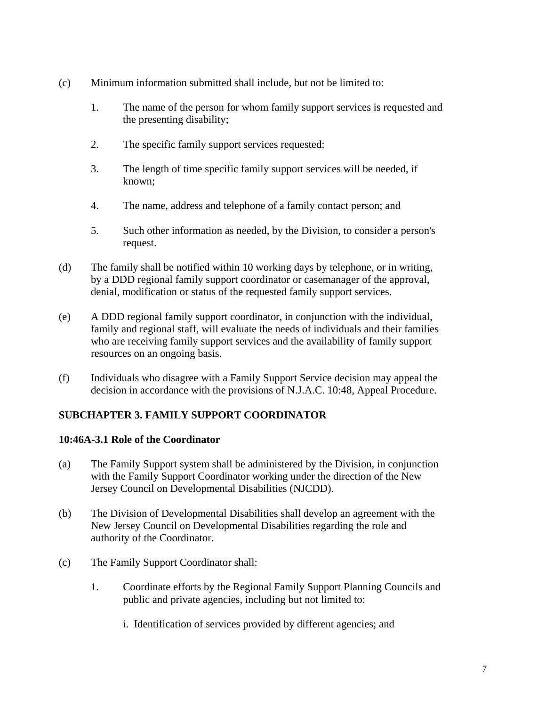- (c) Minimum information submitted shall include, but not be limited to:
	- 1. The name of the person for whom family support services is requested and the presenting disability;
	- 2. The specific family support services requested;
	- 3. The length of time specific family support services will be needed, if known;
	- 4. The name, address and telephone of a family contact person; and
	- 5. Such other information as needed, by the Division, to consider a person's request.
- (d) The family shall be notified within 10 working days by telephone, or in writing, by a DDD regional family support coordinator or casemanager of the approval, denial, modification or status of the requested family support services.
- (e) A DDD regional family support coordinator, in conjunction with the individual, family and regional staff, will evaluate the needs of individuals and their families who are receiving family support services and the availability of family support resources on an ongoing basis.
- (f) Individuals who disagree with a Family Support Service decision may appeal the decision in accordance with the provisions of N.J.A.C. 10:48, Appeal Procedure.

# **SUBCHAPTER 3. FAMILY SUPPORT COORDINATOR**

# **10:46A-3.1 Role of the Coordinator**

- (a) The Family Support system shall be administered by the Division, in conjunction with the Family Support Coordinator working under the direction of the New Jersey Council on Developmental Disabilities (NJCDD).
- (b) The Division of Developmental Disabilities shall develop an agreement with the New Jersey Council on Developmental Disabilities regarding the role and authority of the Coordinator.
- (c) The Family Support Coordinator shall:
	- 1. Coordinate efforts by the Regional Family Support Planning Councils and public and private agencies, including but not limited to:
		- i. Identification of services provided by different agencies; and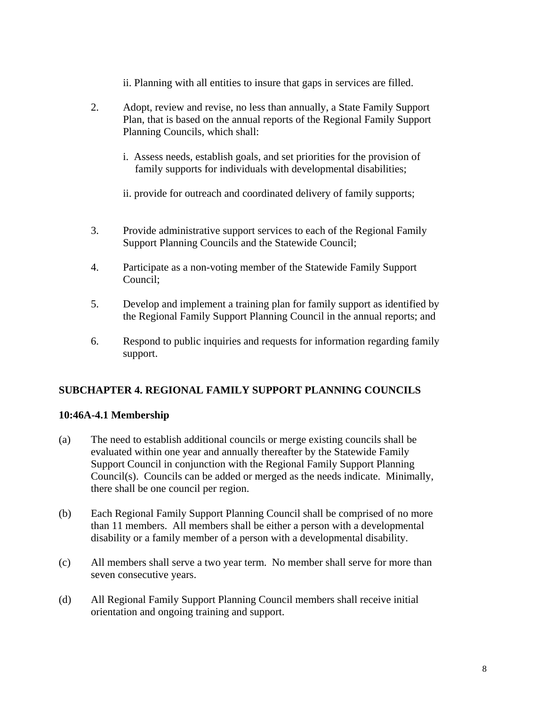- ii. Planning with all entities to insure that gaps in services are filled.
- 2. Adopt, review and revise, no less than annually, a State Family Support Plan, that is based on the annual reports of the Regional Family Support Planning Councils, which shall:
	- i. Assess needs, establish goals, and set priorities for the provision of family supports for individuals with developmental disabilities;
	- ii. provide for outreach and coordinated delivery of family supports;
- 3. Provide administrative support services to each of the Regional Family Support Planning Councils and the Statewide Council;
- 4. Participate as a non-voting member of the Statewide Family Support Council;
- 5. Develop and implement a training plan for family support as identified by the Regional Family Support Planning Council in the annual reports; and
- 6. Respond to public inquiries and requests for information regarding family support.

# **SUBCHAPTER 4. REGIONAL FAMILY SUPPORT PLANNING COUNCILS**

# **10:46A-4.1 Membership**

- (a) The need to establish additional councils or merge existing councils shall be evaluated within one year and annually thereafter by the Statewide Family Support Council in conjunction with the Regional Family Support Planning Council(s). Councils can be added or merged as the needs indicate. Minimally, there shall be one council per region.
- (b) Each Regional Family Support Planning Council shall be comprised of no more than 11 members. All members shall be either a person with a developmental disability or a family member of a person with a developmental disability.
- (c) All members shall serve a two year term. No member shall serve for more than seven consecutive years.
- (d) All Regional Family Support Planning Council members shall receive initial orientation and ongoing training and support.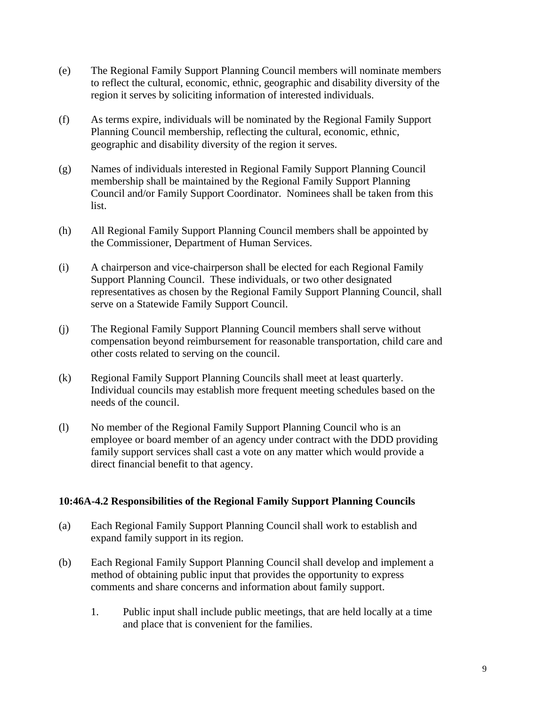- (e) The Regional Family Support Planning Council members will nominate members to reflect the cultural, economic, ethnic, geographic and disability diversity of the region it serves by soliciting information of interested individuals.
- (f) As terms expire, individuals will be nominated by the Regional Family Support Planning Council membership, reflecting the cultural, economic, ethnic, geographic and disability diversity of the region it serves.
- (g) Names of individuals interested in Regional Family Support Planning Council membership shall be maintained by the Regional Family Support Planning Council and/or Family Support Coordinator. Nominees shall be taken from this list.
- (h) All Regional Family Support Planning Council members shall be appointed by the Commissioner, Department of Human Services.
- (i) A chairperson and vice-chairperson shall be elected for each Regional Family Support Planning Council. These individuals, or two other designated representatives as chosen by the Regional Family Support Planning Council, shall serve on a Statewide Family Support Council.
- (j) The Regional Family Support Planning Council members shall serve without compensation beyond reimbursement for reasonable transportation, child care and other costs related to serving on the council.
- (k) Regional Family Support Planning Councils shall meet at least quarterly. Individual councils may establish more frequent meeting schedules based on the needs of the council.
- (l) No member of the Regional Family Support Planning Council who is an employee or board member of an agency under contract with the DDD providing family support services shall cast a vote on any matter which would provide a direct financial benefit to that agency.

#### **10:46A-4.2 Responsibilities of the Regional Family Support Planning Councils**

- (a) Each Regional Family Support Planning Council shall work to establish and expand family support in its region.
- (b) Each Regional Family Support Planning Council shall develop and implement a method of obtaining public input that provides the opportunity to express comments and share concerns and information about family support.
	- 1. Public input shall include public meetings, that are held locally at a time and place that is convenient for the families.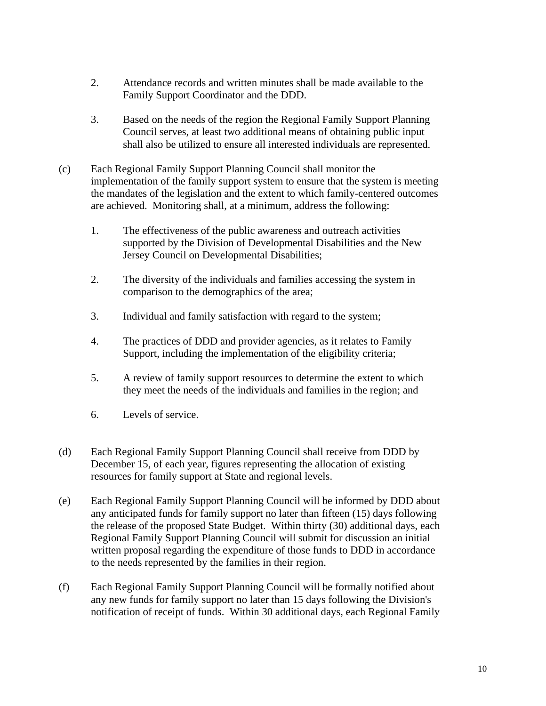- 2. Attendance records and written minutes shall be made available to the Family Support Coordinator and the DDD.
- 3. Based on the needs of the region the Regional Family Support Planning Council serves, at least two additional means of obtaining public input shall also be utilized to ensure all interested individuals are represented.
- (c) Each Regional Family Support Planning Council shall monitor the implementation of the family support system to ensure that the system is meeting the mandates of the legislation and the extent to which family-centered outcomes are achieved. Monitoring shall, at a minimum, address the following:
	- 1. The effectiveness of the public awareness and outreach activities supported by the Division of Developmental Disabilities and the New Jersey Council on Developmental Disabilities;
	- 2. The diversity of the individuals and families accessing the system in comparison to the demographics of the area;
	- 3. Individual and family satisfaction with regard to the system;
	- 4. The practices of DDD and provider agencies, as it relates to Family Support, including the implementation of the eligibility criteria;
	- 5. A review of family support resources to determine the extent to which they meet the needs of the individuals and families in the region; and
	- 6. Levels of service.
- (d) Each Regional Family Support Planning Council shall receive from DDD by December 15, of each year, figures representing the allocation of existing resources for family support at State and regional levels.
- (e) Each Regional Family Support Planning Council will be informed by DDD about any anticipated funds for family support no later than fifteen (15) days following the release of the proposed State Budget. Within thirty (30) additional days, each Regional Family Support Planning Council will submit for discussion an initial written proposal regarding the expenditure of those funds to DDD in accordance to the needs represented by the families in their region.
- (f) Each Regional Family Support Planning Council will be formally notified about any new funds for family support no later than 15 days following the Division's notification of receipt of funds. Within 30 additional days, each Regional Family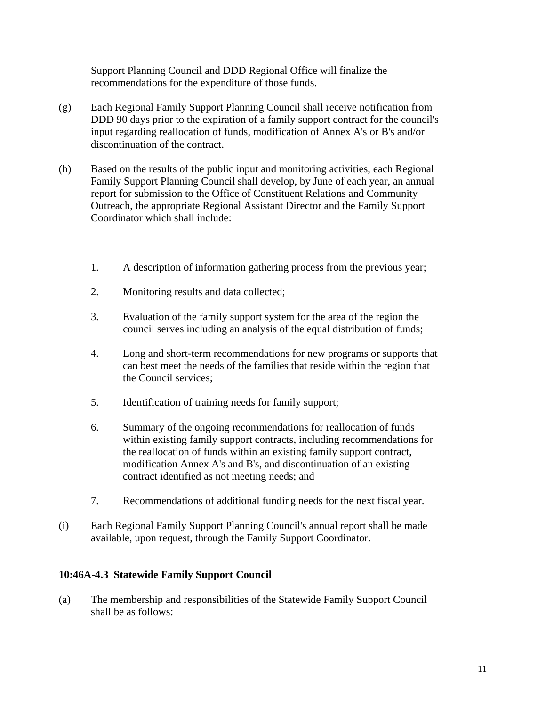Support Planning Council and DDD Regional Office will finalize the recommendations for the expenditure of those funds.

- (g) Each Regional Family Support Planning Council shall receive notification from DDD 90 days prior to the expiration of a family support contract for the council's input regarding reallocation of funds, modification of Annex A's or B's and/or discontinuation of the contract.
- (h) Based on the results of the public input and monitoring activities, each Regional Family Support Planning Council shall develop, by June of each year, an annual report for submission to the Office of Constituent Relations and Community Outreach, the appropriate Regional Assistant Director and the Family Support Coordinator which shall include:
	- 1. A description of information gathering process from the previous year;
	- 2. Monitoring results and data collected;
	- 3. Evaluation of the family support system for the area of the region the council serves including an analysis of the equal distribution of funds;
	- 4. Long and short-term recommendations for new programs or supports that can best meet the needs of the families that reside within the region that the Council services;
	- 5. Identification of training needs for family support;
	- 6. Summary of the ongoing recommendations for reallocation of funds within existing family support contracts, including recommendations for the reallocation of funds within an existing family support contract, modification Annex A's and B's, and discontinuation of an existing contract identified as not meeting needs; and
	- 7. Recommendations of additional funding needs for the next fiscal year.
- (i) Each Regional Family Support Planning Council's annual report shall be made available, upon request, through the Family Support Coordinator.

# **10:46A-4.3 Statewide Family Support Council**

(a) The membership and responsibilities of the Statewide Family Support Council shall be as follows: